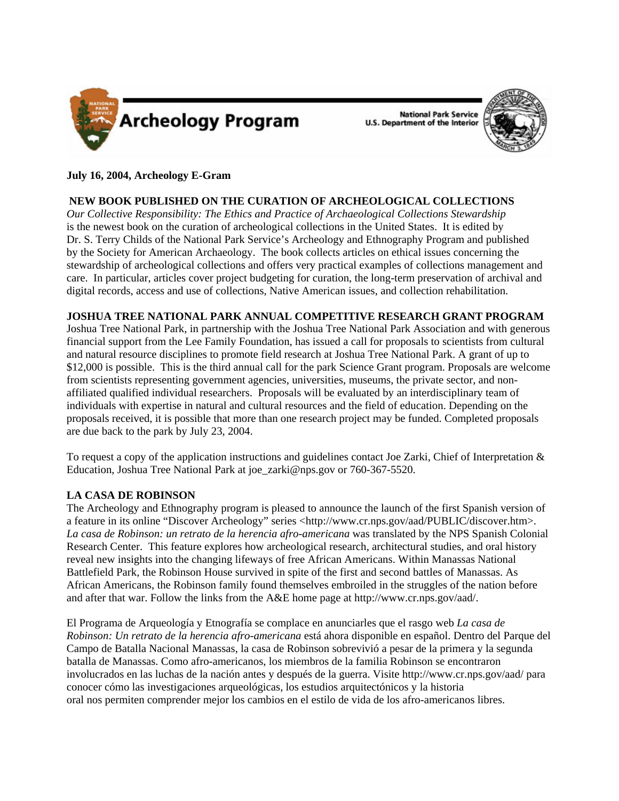

National Park Service<br>U.S. Department of the Interior



# **July 16, 2004, Archeology E-Gram**

# **NEW BOOK PUBLISHED ON THE CURATION OF ARCHEOLOGICAL COLLECTIONS**

*Our Collective Responsibility: The Ethics and Practice of Archaeological Collections Stewardship*  is the newest book on the curation of archeological collections in the United States. It is edited by Dr. S. Terry Childs of the National Park Service's Archeology and Ethnography Program and published by the Society for American Archaeology. The book collects articles on ethical issues concerning the stewardship of archeological collections and offers very practical examples of collections management and care. In particular, articles cover project budgeting for curation, the long-term preservation of archival and digital records, access and use of collections, Native American issues, and collection rehabilitation.

### **JOSHUA TREE NATIONAL PARK ANNUAL COMPETITIVE RESEARCH GRANT PROGRAM**

Joshua Tree National Park, in partnership with the Joshua Tree National Park Association and with generous financial support from the Lee Family Foundation, has issued a call for proposals to scientists from cultural and natural resource disciplines to promote field research at Joshua Tree National Park. A grant of up to \$12,000 is possible. This is the third annual call for the park Science Grant program. Proposals are welcome from scientists representing government agencies, universities, museums, the private sector, and nonaffiliated qualified individual researchers. Proposals will be evaluated by an interdisciplinary team of individuals with expertise in natural and cultural resources and the field of education. Depending on the proposals received, it is possible that more than one research project may be funded. Completed proposals are due back to the park by July 23, 2004.

To request a copy of the application instructions and guidelines contact Joe Zarki, Chief of Interpretation & Education, Joshua Tree National Park at joe\_zarki@nps.gov or 760-367-5520.

### **LA CASA DE ROBINSON**

The Archeology and Ethnography program is pleased to announce the launch of the first Spanish version of a feature in its online "Discover Archeology" series [<http://www.cr.nps.gov/aad/PUBLIC/discover.htm>](http://www.cr.nps.gov/aad/public/discover.htm). *La casa de Robinson: un retrato de la herencia afro-americana* was translated by the NPS Spanish Colonial Research Center. This feature explores how archeological research, architectural studies, and oral history reveal new insights into the changing lifeways of free African Americans. Within Manassas National Battlefield Park, the Robinson House survived in spite of the first and second battles of Manassas. As African Americans, the Robinson family found themselves embroiled in the struggles of the nation before and after that war. Follow the links from the A&E home page at [http://www.cr.nps.gov/aad/.](http://www.cr.nps.gov/aad/)

El Programa de Arqueología y Etnografía se complace en anunciarles que el rasgo web *La casa de Robinson: Un retrato de la herencia afro-americana* está ahora disponible en español. Dentro del Parque del Campo de Batalla Nacional Manassas, la casa de Robinson sobrevivió a pesar de la primera y la segunda batalla de Manassas. Como afro-americanos, los miembros de la familia Robinson se encontraron involucrados en las luchas de la nación antes y después de la guerra. Visite<http://www.cr.nps.gov/aad/> para conocer cómo las investigaciones arqueológicas, los estudios arquitectónicos y la historia oral nos permiten comprender mejor los cambios en el estilo de vida de los afro-americanos libres.